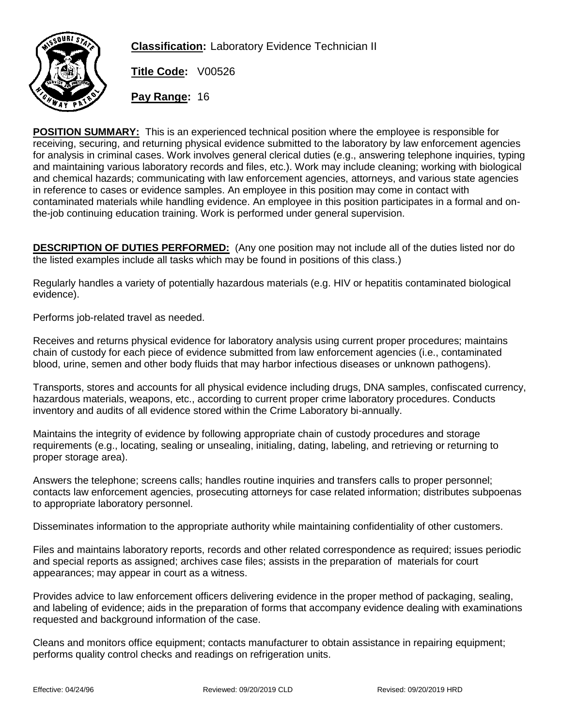

**Classification:** Laboratory Evidence Technician II

**Title Code:** V00526

**Pay Range:** 16

**POSITION SUMMARY:** This is an experienced technical position where the employee is responsible for receiving, securing, and returning physical evidence submitted to the laboratory by law enforcement agencies for analysis in criminal cases. Work involves general clerical duties (e.g., answering telephone inquiries, typing and maintaining various laboratory records and files, etc.). Work may include cleaning; working with biological and chemical hazards; communicating with law enforcement agencies, attorneys, and various state agencies in reference to cases or evidence samples. An employee in this position may come in contact with contaminated materials while handling evidence. An employee in this position participates in a formal and onthe-job continuing education training. Work is performed under general supervision.

**DESCRIPTION OF DUTIES PERFORMED:** (Any one position may not include all of the duties listed nor do the listed examples include all tasks which may be found in positions of this class.)

Regularly handles a variety of potentially hazardous materials (e.g. HIV or hepatitis contaminated biological evidence).

Performs job-related travel as needed.

Receives and returns physical evidence for laboratory analysis using current proper procedures; maintains chain of custody for each piece of evidence submitted from law enforcement agencies (i.e., contaminated blood, urine, semen and other body fluids that may harbor infectious diseases or unknown pathogens).

Transports, stores and accounts for all physical evidence including drugs, DNA samples, confiscated currency, hazardous materials, weapons, etc., according to current proper crime laboratory procedures. Conducts inventory and audits of all evidence stored within the Crime Laboratory bi-annually.

Maintains the integrity of evidence by following appropriate chain of custody procedures and storage requirements (e.g., locating, sealing or unsealing, initialing, dating, labeling, and retrieving or returning to proper storage area).

Answers the telephone; screens calls; handles routine inquiries and transfers calls to proper personnel; contacts law enforcement agencies, prosecuting attorneys for case related information; distributes subpoenas to appropriate laboratory personnel.

Disseminates information to the appropriate authority while maintaining confidentiality of other customers.

Files and maintains laboratory reports, records and other related correspondence as required; issues periodic and special reports as assigned; archives case files; assists in the preparation of materials for court appearances; may appear in court as a witness.

Provides advice to law enforcement officers delivering evidence in the proper method of packaging, sealing, and labeling of evidence; aids in the preparation of forms that accompany evidence dealing with examinations requested and background information of the case.

Cleans and monitors office equipment; contacts manufacturer to obtain assistance in repairing equipment; performs quality control checks and readings on refrigeration units.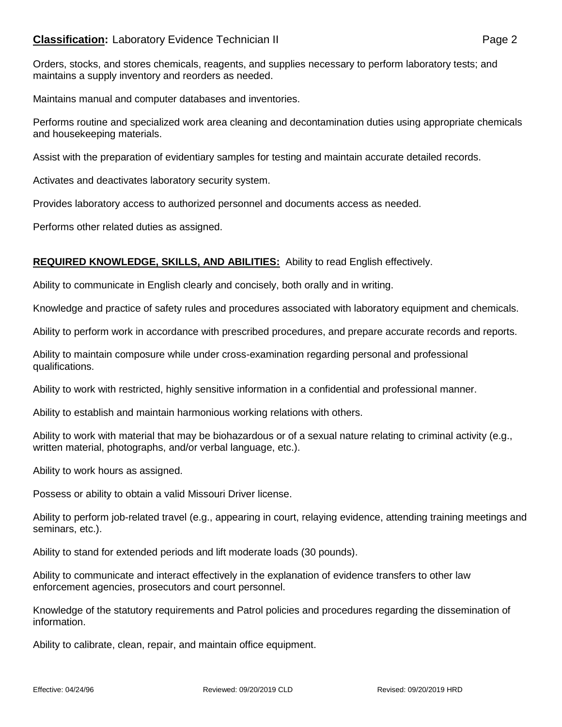## **Classification:** Laboratory Evidence Technician II **Classification:** Page 2

Orders, stocks, and stores chemicals, reagents, and supplies necessary to perform laboratory tests; and maintains a supply inventory and reorders as needed.

Maintains manual and computer databases and inventories.

Performs routine and specialized work area cleaning and decontamination duties using appropriate chemicals and housekeeping materials.

Assist with the preparation of evidentiary samples for testing and maintain accurate detailed records.

Activates and deactivates laboratory security system.

Provides laboratory access to authorized personnel and documents access as needed.

Performs other related duties as assigned.

## **REQUIRED KNOWLEDGE, SKILLS, AND ABILITIES:** Ability to read English effectively.

Ability to communicate in English clearly and concisely, both orally and in writing.

Knowledge and practice of safety rules and procedures associated with laboratory equipment and chemicals.

Ability to perform work in accordance with prescribed procedures, and prepare accurate records and reports.

Ability to maintain composure while under cross-examination regarding personal and professional qualifications.

Ability to work with restricted, highly sensitive information in a confidential and professional manner.

Ability to establish and maintain harmonious working relations with others.

Ability to work with material that may be biohazardous or of a sexual nature relating to criminal activity (e.g., written material, photographs, and/or verbal language, etc.).

Ability to work hours as assigned.

Possess or ability to obtain a valid Missouri Driver license.

Ability to perform job-related travel (e.g., appearing in court, relaying evidence, attending training meetings and seminars, etc.).

Ability to stand for extended periods and lift moderate loads (30 pounds).

Ability to communicate and interact effectively in the explanation of evidence transfers to other law enforcement agencies, prosecutors and court personnel.

Knowledge of the statutory requirements and Patrol policies and procedures regarding the dissemination of information.

Ability to calibrate, clean, repair, and maintain office equipment.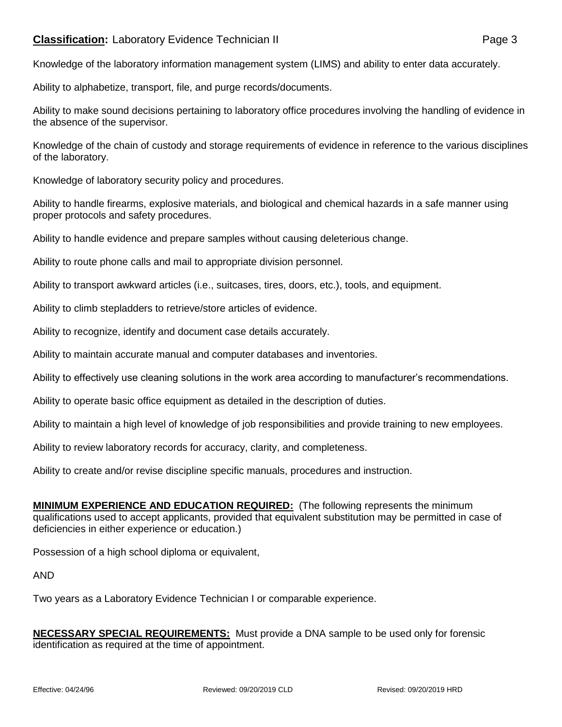## **Classification:** Laboratory Evidence Technician II **Classification:** Page 3

Knowledge of the laboratory information management system (LIMS) and ability to enter data accurately.

Ability to alphabetize, transport, file, and purge records/documents.

Ability to make sound decisions pertaining to laboratory office procedures involving the handling of evidence in the absence of the supervisor.

Knowledge of the chain of custody and storage requirements of evidence in reference to the various disciplines of the laboratory.

Knowledge of laboratory security policy and procedures.

Ability to handle firearms, explosive materials, and biological and chemical hazards in a safe manner using proper protocols and safety procedures.

Ability to handle evidence and prepare samples without causing deleterious change.

Ability to route phone calls and mail to appropriate division personnel.

Ability to transport awkward articles (i.e., suitcases, tires, doors, etc.), tools, and equipment.

Ability to climb stepladders to retrieve/store articles of evidence.

Ability to recognize, identify and document case details accurately.

Ability to maintain accurate manual and computer databases and inventories.

Ability to effectively use cleaning solutions in the work area according to manufacturer's recommendations.

Ability to operate basic office equipment as detailed in the description of duties.

Ability to maintain a high level of knowledge of job responsibilities and provide training to new employees.

Ability to review laboratory records for accuracy, clarity, and completeness.

Ability to create and/or revise discipline specific manuals, procedures and instruction.

**MINIMUM EXPERIENCE AND EDUCATION REQUIRED:** (The following represents the minimum qualifications used to accept applicants, provided that equivalent substitution may be permitted in case of deficiencies in either experience or education.)

Possession of a high school diploma or equivalent,

AND

Two years as a Laboratory Evidence Technician I or comparable experience.

**NECESSARY SPECIAL REQUIREMENTS:** Must provide a DNA sample to be used only for forensic identification as required at the time of appointment.